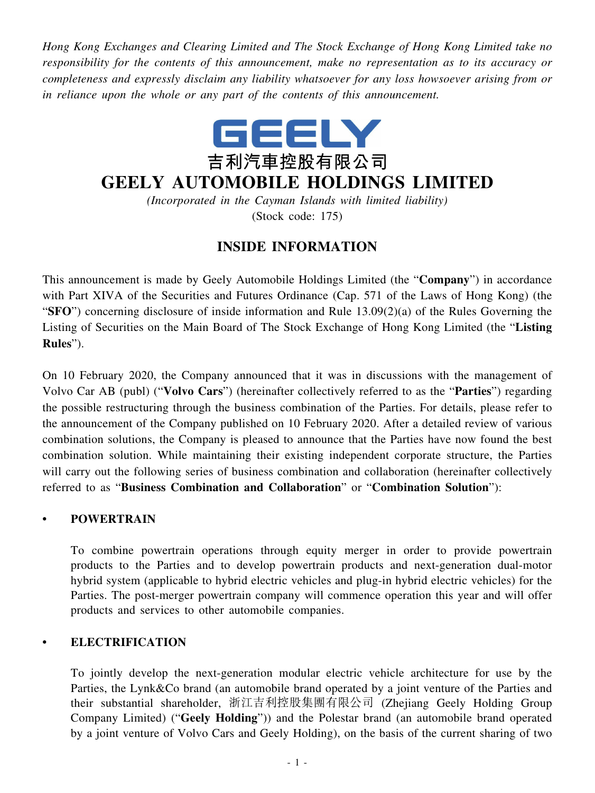*Hong Kong Exchanges and Clearing Limited and The Stock Exchange of Hong Kong Limited take no responsibility for the contents of this announcement, make no representation as to its accuracy or completeness and expressly disclaim any liability whatsoever for any loss howsoever arising from or in reliance upon the whole or any part of the contents of this announcement.*



# **GEELY AUTOMOBILE HOLDINGS LIMITED**

*(Incorporated in the Cayman Islands with limited liability)* (Stock code: 175)

## **INSIDE INFORMATION**

This announcement is made by Geely Automobile Holdings Limited (the "**Company**") in accordance with Part XIVA of the Securities and Futures Ordinance (Cap. 571 of the Laws of Hong Kong) (the "**SFO**") concerning disclosure of inside information and Rule 13.09(2)(a) of the Rules Governing the Listing of Securities on the Main Board of The Stock Exchange of Hong Kong Limited (the "**Listing Rules**").

On 10 February 2020, the Company announced that it was in discussions with the management of Volvo Car AB (publ) ("**Volvo Cars**") (hereinafter collectively referred to as the "**Parties**") regarding the possible restructuring through the business combination of the Parties. For details, please refer to the announcement of the Company published on 10 February 2020. After a detailed review of various combination solutions, the Company is pleased to announce that the Parties have now found the best combination solution. While maintaining their existing independent corporate structure, the Parties will carry out the following series of business combination and collaboration (hereinafter collectively referred to as "**Business Combination and Collaboration**" or "**Combination Solution**"):

### **• POWERTRAIN**

To combine powertrain operations through equity merger in order to provide powertrain products to the Parties and to develop powertrain products and next-generation dual-motor hybrid system (applicable to hybrid electric vehicles and plug-in hybrid electric vehicles) for the Parties. The post-merger powertrain company will commence operation this year and will offer products and services to other automobile companies.

### **• ELECTRIFICATION**

To jointly develop the next-generation modular electric vehicle architecture for use by the Parties, the Lynk&Co brand (an automobile brand operated by a joint venture of the Parties and their substantial shareholder, 浙江吉利控股集團有限公司 (Zhejiang Geely Holding Group Company Limited) ("**Geely Holding**")) and the Polestar brand (an automobile brand operated by a joint venture of Volvo Cars and Geely Holding), on the basis of the current sharing of two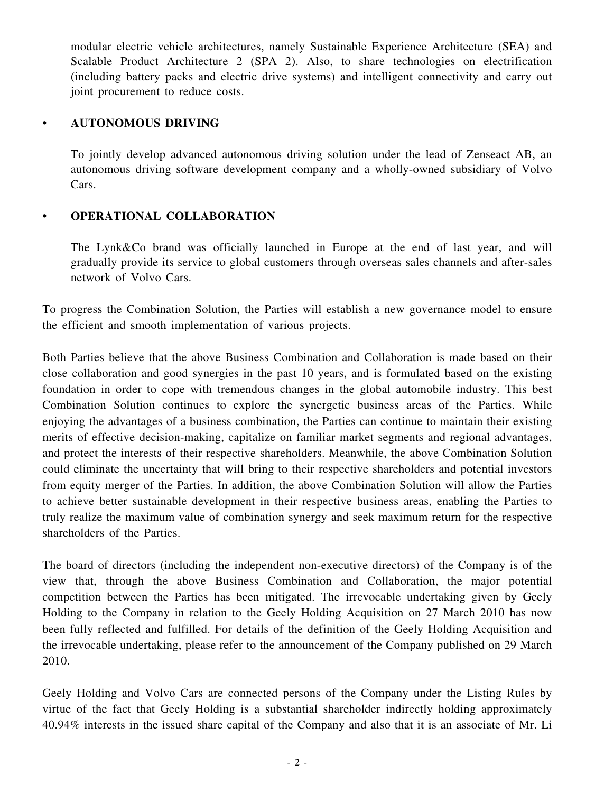modular electric vehicle architectures, namely Sustainable Experience Architecture (SEA) and Scalable Product Architecture 2 (SPA 2). Also, to share technologies on electrification (including battery packs and electric drive systems) and intelligent connectivity and carry out joint procurement to reduce costs.

### **• AUTONOMOUS DRIVING**

To jointly develop advanced autonomous driving solution under the lead of Zenseact AB, an autonomous driving software development company and a wholly-owned subsidiary of Volvo Cars.

### **• OPERATIONAL COLLABORATION**

The Lynk&Co brand was officially launched in Europe at the end of last year, and will gradually provide its service to global customers through overseas sales channels and after-sales network of Volvo Cars.

To progress the Combination Solution, the Parties will establish a new governance model to ensure the efficient and smooth implementation of various projects.

Both Parties believe that the above Business Combination and Collaboration is made based on their close collaboration and good synergies in the past 10 years, and is formulated based on the existing foundation in order to cope with tremendous changes in the global automobile industry. This best Combination Solution continues to explore the synergetic business areas of the Parties. While enjoying the advantages of a business combination, the Parties can continue to maintain their existing merits of effective decision-making, capitalize on familiar market segments and regional advantages, and protect the interests of their respective shareholders. Meanwhile, the above Combination Solution could eliminate the uncertainty that will bring to their respective shareholders and potential investors from equity merger of the Parties. In addition, the above Combination Solution will allow the Parties to achieve better sustainable development in their respective business areas, enabling the Parties to truly realize the maximum value of combination synergy and seek maximum return for the respective shareholders of the Parties.

The board of directors (including the independent non-executive directors) of the Company is of the view that, through the above Business Combination and Collaboration, the major potential competition between the Parties has been mitigated. The irrevocable undertaking given by Geely Holding to the Company in relation to the Geely Holding Acquisition on 27 March 2010 has now been fully reflected and fulfilled. For details of the definition of the Geely Holding Acquisition and the irrevocable undertaking, please refer to the announcement of the Company published on 29 March 2010.

Geely Holding and Volvo Cars are connected persons of the Company under the Listing Rules by virtue of the fact that Geely Holding is a substantial shareholder indirectly holding approximately 40.94% interests in the issued share capital of the Company and also that it is an associate of Mr. Li